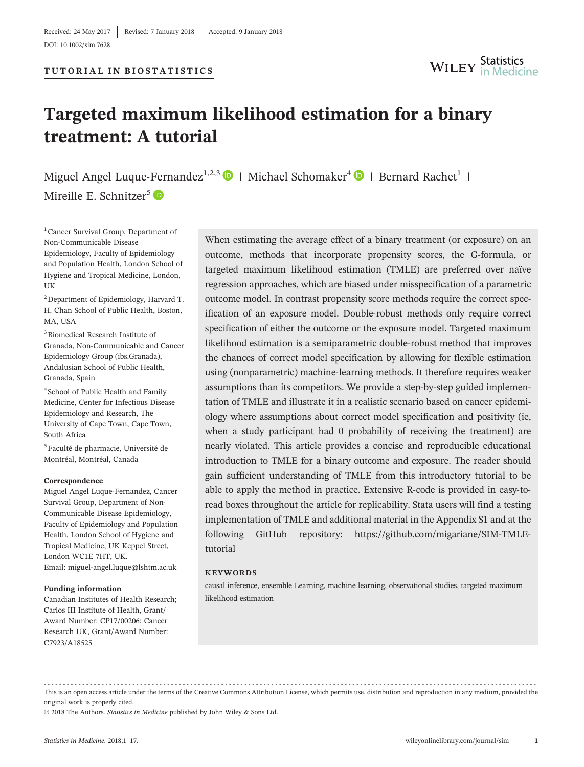original work is properly cited.

## **Targeted maximum likelihood estimation for a binary treatment: A tutorial**

Miguel Angel Luque-Fernandez<sup>1,2,3</sup>  $\bullet$  | Michael Schomaker<sup>4</sup>  $\bullet$  | Bernard Rachet<sup>1</sup> | Mireille E. Schnitzer<sup>5</sup>

<sup>1</sup> Cancer Survival Group, Department of Non‐Communicable Disease Epidemiology, Faculty of Epidemiology and Population Health, London School of Hygiene and Tropical Medicine, London, UK

2 Department of Epidemiology, Harvard T. H. Chan School of Public Health, Boston, MA, USA

3 Biomedical Research Institute of Granada, Non‐Communicable and Cancer Epidemiology Group (ibs.Granada), Andalusian School of Public Health, Granada, Spain

4 School of Public Health and Family Medicine, Center for Infectious Disease Epidemiology and Research, The University of Cape Town, Cape Town, South Africa

<sup>5</sup> Faculté de pharmacie, Université de Montréal, Montréal, Canada

#### **Correspondence**

Miguel Angel Luque‐Fernandez, Cancer Survival Group, Department of Non‐ Communicable Disease Epidemiology, Faculty of Epidemiology and Population Health, London School of Hygiene and Tropical Medicine, UK Keppel Street, London WC1E 7HT, UK. Email: miguel‐[angel.luque@lshtm.ac.uk](mailto:miguel-angel.luque@lshtm.ac.uk)

#### **Funding information**

Canadian Institutes of Health Research; Carlos III Institute of Health, Grant/ Award Number: CP17/00206; Cancer Research UK, Grant/Award Number: C7923/A18525

© 2018 The Authors. *Statistics in Medicine* published by John Wiley & Sons Ltd.

When estimating the average effect of a binary treatment (or exposure) on an outcome, methods that incorporate propensity scores, the G‐formula, or targeted maximum likelihood estimation (TMLE) are preferred over naïve regression approaches, which are biased under misspecification of a parametric outcome model. In contrast propensity score methods require the correct specification of an exposure model. Double‐robust methods only require correct specification of either the outcome or the exposure model. Targeted maximum likelihood estimation is a semiparametric double‐robust method that improves the chances of correct model specification by allowing for flexible estimation using (nonparametric) machine‐learning methods. It therefore requires weaker assumptions than its competitors. We provide a step‐by‐step guided implementation of TMLE and illustrate it in a realistic scenario based on cancer epidemiology where assumptions about correct model specification and positivity (ie, when a study participant had 0 probability of receiving the treatment) are nearly violated. This article provides a concise and reproducible educational introduction to TMLE for a binary outcome and exposure. The reader should gain sufficient understanding of TMLE from this introductory tutorial to be able to apply the method in practice. Extensive R‐code is provided in easy‐to‐ read boxes throughout the article for replicability. Stata users will find a testing implementation of TMLE and additional material in the Appendix S1 and at the following GitHub repository: [https://github.com/migariane/SIM](https://github.com/migariane/SIM-TMLE-tutorial)‐TMLE‐ [tutorial](https://github.com/migariane/SIM-TMLE-tutorial)

#### **KEYWORDS**

------------------------------------------------------------------------------------------------------------------------------- - This is an open access article under the terms of the [Creative Commons Attribution](http://creativecommons.org/licenses/by/4.0/) License, which permits use, distribution and reproduction in any medium, provided the

causal inference, ensemble Learning, machine learning, observational studies, targeted maximum likelihood estimation

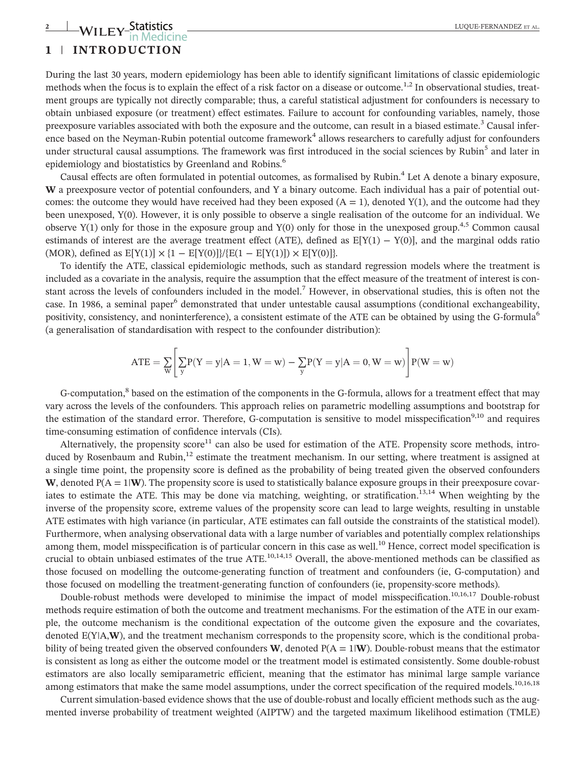# <u>2 LUQUE-FERNANDEZ ET AL.</u><br> **2** LUQUE-FERNANDEZ ET AL.<br> **2** LUQUE-FERNANDEZ ET AL.

#### **1** | **INTRODUCTION**

During the last 30 years, modern epidemiology has been able to identify significant limitations of classic epidemiologic methods when the focus is to explain the effect of a risk factor on a disease or outcome.<sup>1,2</sup> In observational studies, treatment groups are typically not directly comparable; thus, a careful statistical adjustment for confounders is necessary to obtain unbiased exposure (or treatment) effect estimates. Failure to account for confounding variables, namely, those preexposure variables associated with both the exposure and the outcome, can result in a biased estimate.<sup>3</sup> Causal inference based on the Neyman-Rubin potential outcome framework $4$  allows researchers to carefully adjust for confounders under structural causal assumptions. The framework was first introduced in the social sciences by Rubin<sup>5</sup> and later in epidemiology and biostatistics by Greenland and Robins.<sup>6</sup>

Causal effects are often formulated in potential outcomes, as formalised by Rubin.<sup>4</sup> Let A denote a binary exposure, **W** a preexposure vector of potential confounders, and Y a binary outcome. Each individual has a pair of potential outcomes: the outcome they would have received had they been exposed  $(A = 1)$ , denoted  $Y(1)$ , and the outcome had they been unexposed, Y(0). However, it is only possible to observe a single realisation of the outcome for an individual. We observe  $Y(1)$  only for those in the exposure group and  $Y(0)$  only for those in the unexposed group.<sup>4,5</sup> Common causal estimands of interest are the average treatment effect (ATE), defined as  $E[Y(1) - Y(0)]$ , and the marginal odds ratio (MOR), defined as  $E[Y(1)] \times \{1 - E[Y(0)]\}/[E(1 - E[Y(1)]) \times E[Y(0)]\}$ .

To identify the ATE, classical epidemiologic methods, such as standard regression models where the treatment is included as a covariate in the analysis, require the assumption that the effect measure of the treatment of interest is constant across the levels of confounders included in the model.<sup>7</sup> However, in observational studies, this is often not the case. In 1986, a seminal paper<sup>6</sup> demonstrated that under untestable causal assumptions (conditional exchangeability, positivity, consistency, and noninterference), a consistent estimate of the ATE can be obtained by using the G-formula<sup>6</sup> (a generalisation of standardisation with respect to the confounder distribution):

$$
ATE = \sum_{W} \left[ \sum_{y} P(Y=y|A=1, W=w) - \sum_{y} P(Y=y|A=0, W=w) \right] P(W=w)
$$

G-computation,<sup>8</sup> based on the estimation of the components in the G-formula, allows for a treatment effect that may vary across the levels of the confounders. This approach relies on parametric modelling assumptions and bootstrap for the estimation of the standard error. Therefore, G-computation is sensitive to model misspecification<sup>9,10</sup> and requires time‐consuming estimation of confidence intervals (CIs).

Alternatively, the propensity score<sup>11</sup> can also be used for estimation of the ATE. Propensity score methods, introduced by Rosenbaum and Rubin, $^{12}$  estimate the treatment mechanism. In our setting, where treatment is assigned at a single time point, the propensity score is defined as the probability of being treated given the observed confounders **W**, denoted  $P(A = 1|W)$ . The propensity score is used to statistically balance exposure groups in their preexposure covariates to estimate the ATE. This may be done via matching, weighting, or stratification.<sup>13,14</sup> When weighting by the inverse of the propensity score, extreme values of the propensity score can lead to large weights, resulting in unstable ATE estimates with high variance (in particular, ATE estimates can fall outside the constraints of the statistical model). Furthermore, when analysing observational data with a large number of variables and potentially complex relationships among them, model misspecification is of particular concern in this case as well.<sup>10</sup> Hence, correct model specification is crucial to obtain unbiased estimates of the true ATE.<sup>10,14,15</sup> Overall, the above-mentioned methods can be classified as those focused on modelling the outcome‐generating function of treatment and confounders (ie, G‐computation) and those focused on modelling the treatment-generating function of confounders (ie, propensity-score methods).

Double-robust methods were developed to minimise the impact of model misspecification.<sup>10,16,17</sup> Double-robust methods require estimation of both the outcome and treatment mechanisms. For the estimation of the ATE in our example, the outcome mechanism is the conditional expectation of the outcome given the exposure and the covariates, denoted E(Y|A,**W**), and the treatment mechanism corresponds to the propensity score, which is the conditional probability of being treated given the observed confounders **W**, denoted  $P(A = 1|\mathbf{W})$ . Double-robust means that the estimator is consistent as long as either the outcome model or the treatment model is estimated consistently. Some double-robust estimators are also locally semiparametric efficient, meaning that the estimator has minimal large sample variance among estimators that make the same model assumptions, under the correct specification of the required models.<sup>10,16,18</sup>

Current simulation‐based evidence shows that the use of double‐robust and locally efficient methods such as the augmented inverse probability of treatment weighted (AIPTW) and the targeted maximum likelihood estimation (TMLE)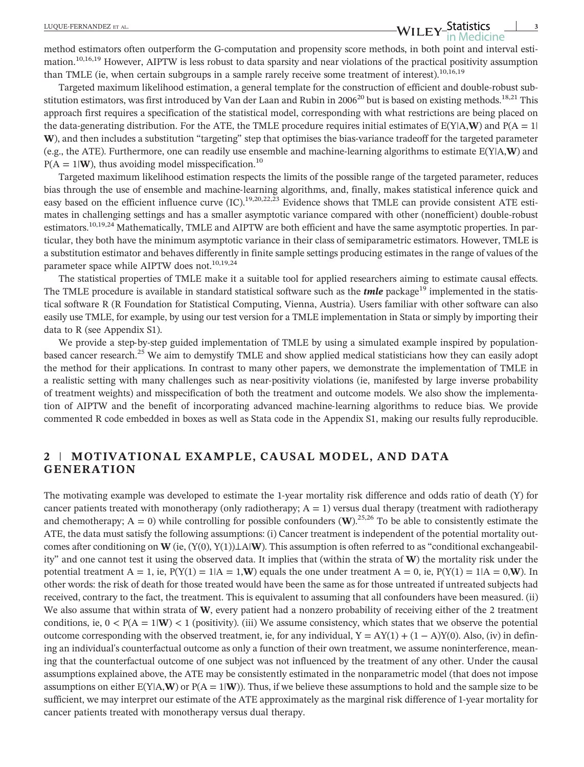method estimators often outperform the G-computation and propensity score methods, in both point and interval estimation.<sup>10,16,19</sup> However, AIPTW is less robust to data sparsity and near violations of the practical positivity assumption than TMLE (ie, when certain subgroups in a sample rarely receive some treatment of interest).<sup>10,16,19</sup>

Targeted maximum likelihood estimation, a general template for the construction of efficient and double‐robust substitution estimators, was first introduced by Van der Laan and Rubin in 2006<sup>20</sup> but is based on existing methods.<sup>18,21</sup> This approach first requires a specification of the statistical model, corresponding with what restrictions are being placed on the data-generating distribution. For the ATE, the TMLE procedure requires initial estimates of  $E(Y|A, W)$  and  $P(A = 1|Y)$ W), and then includes a substitution "targeting" step that optimises the bias-variance tradeoff for the targeted parameter (e.g., the ATE). Furthermore, one can readily use ensemble and machine‐learning algorithms to estimate E(Y|A,**W**) and  $P(A = 1|W)$ , thus avoiding model misspecification.<sup>10</sup>

Targeted maximum likelihood estimation respects the limits of the possible range of the targeted parameter, reduces bias through the use of ensemble and machine‐learning algorithms, and, finally, makes statistical inference quick and easy based on the efficient influence curve  $(IC)$ .<sup>19,20,22,23</sup> Evidence shows that TMLE can provide consistent ATE estimates in challenging settings and has a smaller asymptotic variance compared with other (nonefficient) double-robust estimators.<sup>10,19,24</sup> Mathematically, TMLE and AIPTW are both efficient and have the same asymptotic properties. In particular, they both have the minimum asymptotic variance in their class of semiparametric estimators. However, TMLE is a substitution estimator and behaves differently in finite sample settings producing estimates in the range of values of the parameter space while AIPTW does not.<sup>10,19,24</sup>

The statistical properties of TMLE make it a suitable tool for applied researchers aiming to estimate causal effects. The TMLE procedure is available in standard statistical software such as the *tmle* package<sup>19</sup> implemented in the statistical software R (R Foundation for Statistical Computing, Vienna, Austria). Users familiar with other software can also easily use TMLE, for example, by using our test version for a TMLE implementation in Stata or simply by importing their data to R (see Appendix S1).

We provide a step‐by‐step guided implementation of TMLE by using a simulated example inspired by population‐ based cancer research.<sup>25</sup> We aim to demystify TMLE and show applied medical statisticians how they can easily adopt the method for their applications. In contrast to many other papers, we demonstrate the implementation of TMLE in a realistic setting with many challenges such as near‐positivity violations (ie, manifested by large inverse probability of treatment weights) and misspecification of both the treatment and outcome models. We also show the implementation of AIPTW and the benefit of incorporating advanced machine‐learning algorithms to reduce bias. We provide commented R code embedded in boxes as well as Stata code in the Appendix S1, making our results fully reproducible.

#### **2** | **MOTIVATIONAL EXAMPLE, CAUSAL MODEL, AND DATA GENERATION**

The motivating example was developed to estimate the 1‐year mortality risk difference and odds ratio of death (Y) for cancer patients treated with monotherapy (only radiotherapy;  $A = 1$ ) versus dual therapy (treatment with radiotherapy and chemotherapy;  $A = 0$ ) while controlling for possible confounders (W).<sup>25,26</sup> To be able to consistently estimate the ATE, the data must satisfy the following assumptions: (i) Cancer treatment is independent of the potential mortality outcomes after conditioning on **W** (ie, (Y(0), Y(1))⊥A|**W**). This assumption is often referred to as "conditional exchangeability" and one cannot test it using the observed data. It implies that (within the strata of **W**) the mortality risk under the potential treatment  $A = 1$ , ie,  $P(Y(1) = 1 | A = 1, W)$  equals the one under treatment  $A = 0$ , ie,  $P(Y(1) = 1 | A = 0, W)$ . In other words: the risk of death for those treated would have been the same as for those untreated if untreated subjects had received, contrary to the fact, the treatment. This is equivalent to assuming that all confounders have been measured. (ii) We also assume that within strata of **W**, every patient had a nonzero probability of receiving either of the 2 treatment conditions, ie,  $0 < P(A = 1|\mathbf{W}) < 1$  (positivity). (iii) We assume consistency, which states that we observe the potential outcome corresponding with the observed treatment, ie, for any individual,  $Y = AY(1) + (1 - A)Y(0)$ . Also, (iv) in defining an individual's counterfactual outcome as only a function of their own treatment, we assume noninterference, meaning that the counterfactual outcome of one subject was not influenced by the treatment of any other. Under the causal assumptions explained above, the ATE may be consistently estimated in the nonparametric model (that does not impose assumptions on either  $E(Y|A, W)$  or  $P(A = 1|W)$ ). Thus, if we believe these assumptions to hold and the sample size to be sufficient, we may interpret our estimate of the ATE approximately as the marginal risk difference of 1‐year mortality for cancer patients treated with monotherapy versus dual therapy.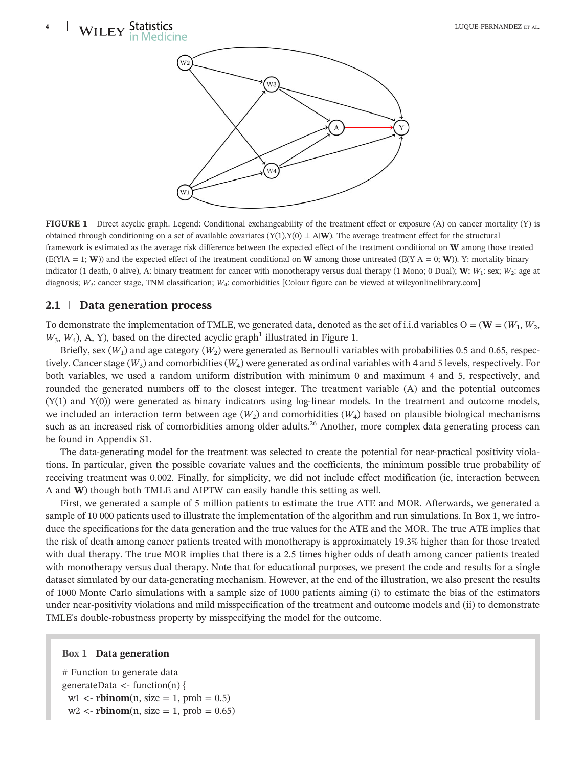

**FIGURE 1** Direct acyclic graph. Legend: Conditional exchangeability of the treatment effect or exposure (A) on cancer mortality (Y) is obtained through conditioning on a set of available covariates (Y(1),Y(0) ⊥ A|**W**). The average treatment effect for the structural framework is estimated as the average risk difference between the expected effect of the treatment conditional on **W** among those treated  $(E(Y|A = 1; W))$  and the expected effect of the treatment conditional on **W** among those untreated  $(E(Y|A = 0; W))$ . Y: mortality binary indicator (1 death, 0 alive), A: binary treatment for cancer with monotherapy versus dual therapy (1 Mono; 0 Dual); **W:** *W*1: sex; *W*2: age at diagnosis; *W*<sub>3</sub>: cancer stage, TNM classification; *W*<sub>4</sub>: comorbidities [Colour figure can be viewed at [wileyonlinelibrary.com](http://wileyonlinelibrary.com)]

#### **2.1** | **Data generation process**

To demonstrate the implementation of TMLE, we generated data, denoted as the set of i.i.d variables  $O = (\mathbf{W} = (W_1, W_2,$  $W_3$ ,  $W_4$ ), A, Y), based on the directed acyclic graph<sup>1</sup> illustrated in Figure 1.

Briefly, sex  $(W_1)$  and age category  $(W_2)$  were generated as Bernoulli variables with probabilities 0.5 and 0.65, respectively. Cancer stage  $(W_3)$  and comorbidities  $(W_4)$  were generated as ordinal variables with 4 and 5 levels, respectively. For both variables, we used a random uniform distribution with minimum 0 and maximum 4 and 5, respectively, and rounded the generated numbers off to the closest integer. The treatment variable (A) and the potential outcomes  $(Y(1)$  and  $Y(0)$ ) were generated as binary indicators using log-linear models. In the treatment and outcome models, we included an interaction term between age  $(W_2)$  and comorbidities  $(W_4)$  based on plausible biological mechanisms such as an increased risk of comorbidities among older adults.<sup>26</sup> Another, more complex data generating process can be found in Appendix S1.

The data-generating model for the treatment was selected to create the potential for near-practical positivity violations. In particular, given the possible covariate values and the coefficients, the minimum possible true probability of receiving treatment was 0.002. Finally, for simplicity, we did not include effect modification (ie, interaction between A and **W**) though both TMLE and AIPTW can easily handle this setting as well.

First, we generated a sample of 5 million patients to estimate the true ATE and MOR. Afterwards, we generated a sample of 10 000 patients used to illustrate the implementation of the algorithm and run simulations. In Box 1, we introduce the specifications for the data generation and the true values for the ATE and the MOR. The true ATE implies that the risk of death among cancer patients treated with monotherapy is approximately 19.3% higher than for those treated with dual therapy. The true MOR implies that there is a 2.5 times higher odds of death among cancer patients treated with monotherapy versus dual therapy. Note that for educational purposes, we present the code and results for a single dataset simulated by our data-generating mechanism. However, at the end of the illustration, we also present the results of 1000 Monte Carlo simulations with a sample size of 1000 patients aiming (i) to estimate the bias of the estimators under near‐positivity violations and mild misspecification of the treatment and outcome models and (ii) to demonstrate TMLE's double-robustness property by misspecifying the model for the outcome.

#### **Box 1 Data generation**

# Function to generate data generateData  $\langle$ - function(n) {  $w1 \leq r \text{binom}(n, size = 1, prob = 0.5)$  $w2 <$  **rbinom**(n, size = 1, prob = 0.65)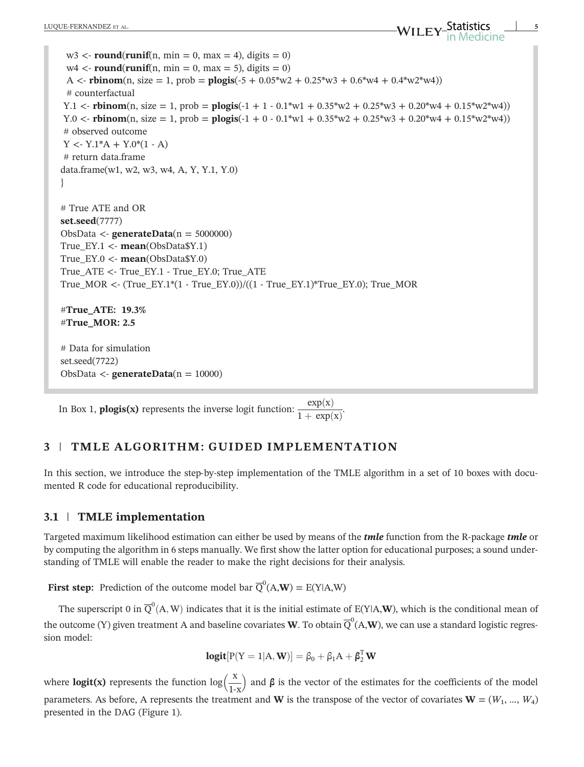$w3 \le$ **round**(**runif**(n, min = 0, max = 4), digits = 0)  $w4 \le$ **round**(**runif**(n, min = 0, max = 5), digits = 0) A  $\le$  **rbinom**(n, size = 1, prob = **plogis**( $-5 + 0.05$ <sup>\*</sup>w2 + 0.25<sup>\*</sup>w3 + 0.6<sup>\*</sup>w4 + 0.4<sup>\*</sup>w2<sup>\*</sup>w4)) # counterfactual Y.1 <- **rbinom**(n, size = 1, prob = **plogis**(-1 + 1 - 0.1\*w1 + 0.35\*w2 + 0.25\*w3 + 0.20\*w4 + 0.15\*w2\*w4)) Y.0 <- **rbinom**(n, size = 1, prob = **plogis**(-1 + 0 - 0.1\*w1 + 0.35\*w2 + 0.25\*w3 + 0.20\*w4 + 0.15\*w2\*w4)) # observed outcome  $Y \leq Y.1^*A + Y.0^*(1 - A)$ # return data.frame data.frame(w1, w2, w3, w4, A, Y, Y.1, Y.0) } # True ATE and OR **set.seed**(7777) ObsData <- **generateData**(n = 5000000) True\_EY.1 <- **mean**(ObsData\$Y.1) True\_EY.0 <- **mean**(ObsData\$Y.0) True\_ATE <- True\_EY.1 - True\_EY.0; True\_ATE True\_MOR <- (True\_EY.1\*(1 - True\_EY.0))/((1 - True\_EY.1)\*True\_EY.0); True\_MOR #**True\_ATE: 19.3%** #**True\_MOR: 2.5** # Data for simulation set.seed(7722) ObsData <- **generateData**(n = 10000)

In Box 1, **plogis(x)** represents the inverse logit function:  $\frac{\exp(x)}{1 + \exp(x)}$ .

#### **3** | **TMLE ALGORITHM: GUIDED IMPLEMENTATION**

In this section, we introduce the step‐by‐step implementation of the TMLE algorithm in a set of 10 boxes with documented R code for educational reproducibility.

#### **3.1** | **TMLE implementation**

Targeted maximum likelihood estimation can either be used by means of the *tmle* function from the R‐package *tmle* or by computing the algorithm in 6 steps manually. We first show the latter option for educational purposes; a sound understanding of TMLE will enable the reader to make the right decisions for their analysis.

**First step:** Prediction of the outcome model bar  $\overline{Q}^0(A, \mathbf{W}) = E(Y|A, W)$ 

The superscript 0 in  $\overline{Q}^0(A, W)$  indicates that it is the initial estimate of E(Y|A,**W**), which is the conditional mean of the outcome (Y) given treatment A and baseline covariates **W**. To obtain  $\overline{Q}^0(A,\bf W)$ , we can use a standard logistic regression model:

$$
\text{logit}[P(Y=1|A,\mathbf{W})]=\beta_0+\beta_1A+\pmb{\beta}_2^T\mathbf{W}
$$

where **logit(x)** represents the function  $\log \left( \frac{x}{1-x} \right)$ - 11<br>- 11 **- 1** - 11 and  $\beta$  is the vector of the estimates for the coefficients of the model parameters. As before, A represents the treatment and **W** is the transpose of the vector of covariates  $W = (W_1, ..., W_4)$ presented in the DAG (Figure 1).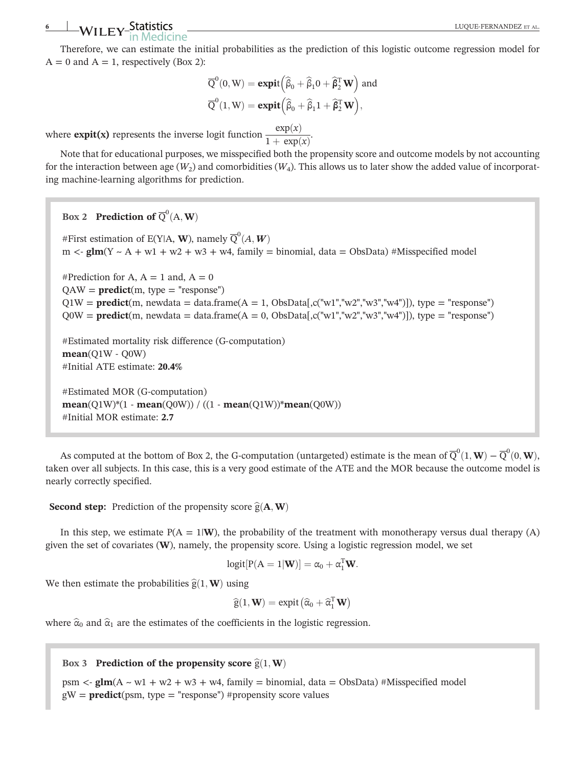### **6 6** LUQUE-FERNANDEZ ET AL. **6** LUQUE FERNANDEZ ET AL.

Therefore, we can estimate the initial probabilities as the prediction of this logistic outcome regression model for  $A = 0$  and  $A = 1$ , respectively (Box 2):

$$
\begin{aligned} &\overline{Q}^0(0,W)=\textbf{expit}\Big(\widehat{\beta}_0+\widehat{\beta}_10+\widehat{\beta}_2^T\mathbf{W}\Big)\text{ and}\\ &\overline{Q}^0(1,W)=\textbf{expit}\Big(\widehat{\beta}_0+\widehat{\beta}_11+\widehat{\beta}_2^T\mathbf{W}\Big), \end{aligned}
$$

where **expit(x)** represents the inverse logit function  $\frac{\exp(x)}{1 + \exp(x)}$ .

Note that for educational purposes, we misspecified both the propensity score and outcome models by not accounting for the interaction between age  $(W_2)$  and comorbidities  $(W_4)$ . This allows us to later show the added value of incorporating machine‐learning algorithms for prediction.

```
Box 2 Prediction of \overline{Q}^0(A, W)#First estimation of E(Y|A, W), namely \overline{Q}^0(A, \boldsymbol{W})m < -glm(Y \sim A + w1 + w2 + w3 + w4, family = binomial, data = ObsData) #Misspecified model
#Prediction for A, A = 1 and, A = 0QAW = \textbf{predict}(m, \text{ type} = "response")Q1W = \textbf{predict}(m, newdata = dataframe(A = 1, ObsData[, c("w1", "w2", "w3", "w4"))), type = "response")Q0W = \textbf{predict}(m, newdata = dataframe(A = 0, ObsData[, c("w1", "w2", "w3", "w4"))), type = "response")#Estimated mortality risk difference (G‐computation)
mean(Q1W - Q0W)
#Initial ATE estimate: 20.4%
#Estimated MOR (G-computation)
mean(Q1W)*(1 - mean(Q0W)) / ((1 - mean(Q1W))*mean(Q0W))
#Initial MOR estimate: 2.7
```
As computed at the bottom of Box 2, the G-computation (untargeted) estimate is the mean of  $\overline{Q}^0(1, \mathbf{W}) - \overline{Q}^0(0, \mathbf{W})$ , taken over all subjects. In this case, this is a very good estimate of the ATE and the MOR because the outcome model is nearly correctly specified.

**Second step:** Prediction of the propensity score  $\hat{g}(\mathbf{A}, \mathbf{W})$ 

In this step, we estimate  $P(A = 1|\mathbf{W})$ , the probability of the treatment with monotherapy versus dual therapy (A) given the set of covariates (**W**), namely, the propensity score. Using a logistic regression model, we set

$$
logit[P(A = 1|\mathbf{W})] = \alpha_0 + \alpha_1^T \mathbf{W}.
$$

We then estimate the probabilities  $\hat{g}(1, \mathbf{W})$  using

 $\widehat{\mathbf{g}}(1,\mathbf{W}) = \text{expit} \left( \widehat{\alpha}_0 + \widehat{\alpha}_1^{\text{T}} \mathbf{W} \right)$ 

where  $\hat{\alpha}_0$  and  $\hat{\alpha}_1$  are the estimates of the coefficients in the logistic regression.

#### Box 3 **Prediction of the propensity score**  $\hat{g}(1, \mathbf{W})$

psm  $\langle$ - **glm**( $A \sim w1 + w2 + w3 + w4$ , family = binomial, data = ObsData) #Misspecified model  $gW = \textbf{predict}(psm, type = "response")$ #propensity score values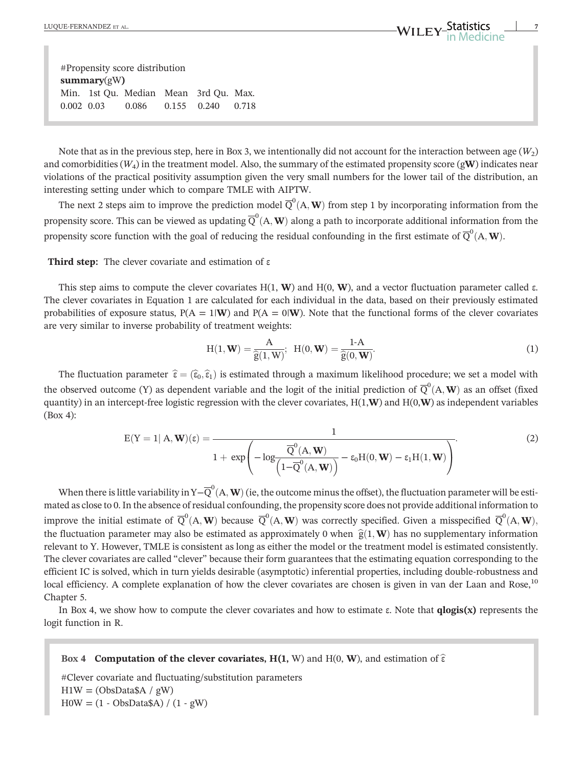#Propensity score distribution **summary**(gW**)** Min. 1st Qu. Median Mean 3rd Qu. Max.

Note that as in the previous step, here in Box 3, we intentionally did not account for the interaction between age  $(W_2)$ and comorbidities  $(W_4)$  in the treatment model. Also, the summary of the estimated propensity score (g**W**) indicates near violations of the practical positivity assumption given the very small numbers for the lower tail of the distribution, an interesting setting under which to compare TMLE with AIPTW.

The next 2 steps aim to improve the prediction model  $\overline{Q}^0(A, \mathbf{W})$  from step 1 by incorporating information from the propensity score. This can be viewed as updating  $\overline{Q}^0(A,\mathbf{W})$  along a path to incorporate additional information from the propensity score function with the goal of reducing the residual confounding in the first estimate of  $\overline{Q}^0(A, \bf{W})$ .

**Third step:** The clever covariate and estimation of ε

0.002 0.03 0.086 0.155 0.240 0.718

This step aims to compute the clever covariates H(1, **W**) and H(0, **W**), and a vector fluctuation parameter called ε. The clever covariates in Equation 1 are calculated for each individual in the data, based on their previously estimated probabilities of exposure status,  $P(A = 1|\mathbf{W})$  and  $P(A = 0|\mathbf{W})$ . Note that the functional forms of the clever covariates are very similar to inverse probability of treatment weights:

$$
H(1, \mathbf{W}) = \frac{A}{\widehat{g}(1, W)}; \quad H(0, \mathbf{W}) = \frac{1-A}{\widehat{g}(0, \mathbf{W})}.
$$

The fluctuation parameter  $\hat{\epsilon} = (\hat{\epsilon}_0, \hat{\epsilon}_1)$  is estimated through a maximum likelihood procedure; we set a model with the observed outcome (Y) as dependent variable and the logit of the initial prediction of  $\overline{Q}^0(A, W)$  as an offset (fixed quantity) in an intercept-free logistic regression with the clever covariates,  $H(1,\mathbf{W})$  and  $H(0,\mathbf{W})$  as independent variables (Box 4):

$$
E(Y = 1 | A, \mathbf{W})(\epsilon) = \frac{1}{1 + \exp\left(-\log\frac{\overline{Q}^0(A, \mathbf{W})}{\left(1 - \overline{Q}^0(A, \mathbf{W})\right)} - \epsilon_0 H(0, \mathbf{W}) - \epsilon_1 H(1, \mathbf{W})\right)}.
$$
(2)

When there is little variability in Y−Q<sup>0</sup>(A, **W**) (ie, the outcome minus the offset), the fluctuation parameter will be estimated as close to 0. In the absence of residual confounding, the propensity score does not provide additional information to improve the initial estimate of  $\overline{Q}^0(A, \mathbf{W})$  because  $\overline{Q}^0(A, \mathbf{W})$  was correctly specified. Given a misspecified  $\overline{Q}^0(A, \mathbf{W})$ , the fluctuation parameter may also be estimated as approximately 0 when  $\hat{g}(1, \mathbf{W})$  has no supplementary information relevant to Y. However, TMLE is consistent as long as either the model or the treatment model is estimated consistently. The clever covariates are called "clever" because their form guarantees that the estimating equation corresponding to the efficient IC is solved, which in turn yields desirable (asymptotic) inferential properties, including double‐robustness and local efficiency. A complete explanation of how the clever covariates are chosen is given in van der Laan and Rose,<sup>10</sup> Chapter 5.

In Box 4, we show how to compute the clever covariates and how to estimate ε. Note that **qlogis(x)** represents the logit function in R.

#### **Box 4 Computation of the clever covariates, H(1, W)** and H(0, **W)**, and estimation of  $\hat{\epsilon}$

#Clever covariate and fluctuating/substitution parameters  $H1W = (ObsData$A / gW)$  $H0W = (1 - ObsData$A) / (1 - gW)$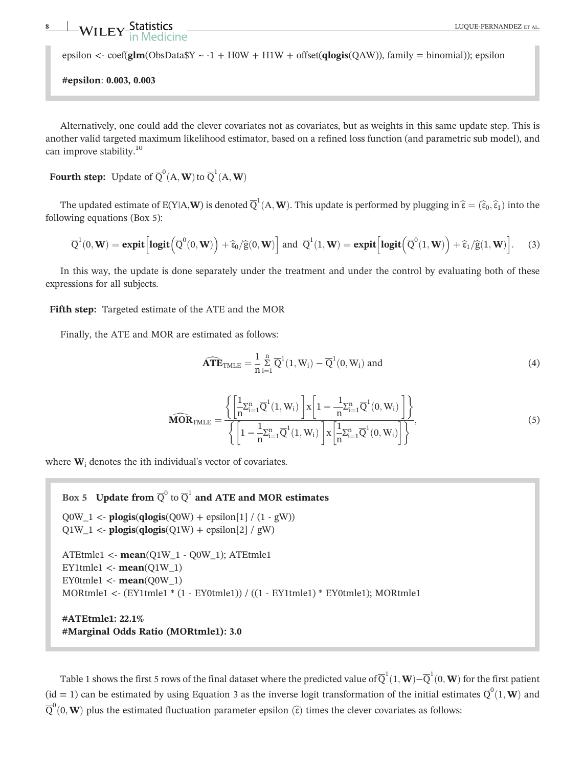# **8** LUQUE-FERNANDEZ ET AL.<br> **EXAMPLEY** in Madicina

epsilon <- coef(**glm**(ObsData\$Y ~ -1 + H0W + H1W + offset(**qlogis**(QAW)), family = binomial)); epsilon

**#epsilon**: **0.003, 0.003**

Alternatively, one could add the clever covariates not as covariates, but as weights in this same update step. This is another valid targeted maximum likelihood estimator, based on a refined loss function (and parametric sub model), and can improve stability.<sup>10</sup>

**Fourth step:** Update of  $\overline{Q}^0(A, \mathbf{W})$  to  $\overline{Q}^1(A, \mathbf{W})$ 

The updated estimate of E(Y|A,**W**) is denoted  $\overline{Q}^1(A, \mathbf{W})$ . This update is performed by plugging in  $\hat{\epsilon} = (\hat{\epsilon}_0, \hat{\epsilon}_1)$  into the following equations (Box 5):

$$
\overline{Q}^1(0,\mathbf{W}) = \text{expit}\Big[\text{logit}\Big(\overline{Q}^0(0,\mathbf{W})\Big) + \widehat{\epsilon}_0/\widehat{g}(0,\mathbf{W})\Big] \text{ and } \overline{Q}^1(1,\mathbf{W}) = \text{expit}\Big[\text{logit}\Big(\overline{Q}^0(1,\mathbf{W})\Big) + \widehat{\epsilon}_1/\widehat{g}(1,\mathbf{W})\Big].
$$
 (3)

In this way, the update is done separately under the treatment and under the control by evaluating both of these expressions for all subjects.

**Fifth step:** Targeted estimate of the ATE and the MOR

Finally, the ATE and MOR are estimated as follows:

$$
\widehat{\text{ATE}}_{\text{TMLE}} = \frac{1}{n} \sum_{i=1}^{n} \overline{Q}^{1}(1, W_{i}) - \overline{Q}^{1}(0, W_{i}) \text{ and}
$$
\n
$$
\tag{4}
$$

$$
\widehat{\text{MOR}}_{\text{TMLE}} = \frac{\left\{ \left[ \frac{1}{n} \Sigma_{i=1}^{n} \overline{Q}^{1}(1, W_{i}) \right] x \left[ 1 - \frac{1}{n} \Sigma_{i=1}^{n} \overline{Q}^{1}(0, W_{i}) \right] \right\}}{\left\{ \left[ 1 - \frac{1}{n} \Sigma_{i=1}^{n} \overline{Q}^{1}(1, W_{i}) \right] x \left[ \frac{1}{n} \Sigma_{i=1}^{n} \overline{Q}^{1}(0, W_{i}) \right] \right\}}, \tag{5}
$$

where  $W_i$  denotes the ith individual's vector of covariates.

```
Box 5 Update from \overline{Q}^0 to \overline{Q}^1 and ATE and MOR estimates
Q0W_1 < -plogis(qlogis(Q0W) + epsilon[1] / (1 - gW))
Q1W_1 <- plogis(qlogis(Q1W) + epsilon[2] / gW)
ATEtmle1 <- mean(Q1W_1 - Q0W_1); ATEtmle1
EY1tmle1 \langle - mean(Q1W_1)
EY0tmle1 < mean(Q0W_1)MORtmle1 <- (EY1tmle1 * (1 - EY0tmle1)) / ((1 - EY1tmle1) * EY0tmle1); MORtmle1
#ATEtmle1: 22.1%
#Marginal Odds Ratio (MORtmle1): 3.0
```
Table 1 shows the first 5 rows of the final dataset where the predicted value of  $\overline{Q}^1(1,\mathbf{W})-\overline{Q}^1(0,\mathbf{W})$  for the first patient  $(id = 1)$  can be estimated by using Equation 3 as the inverse logit transformation of the initial estimates  $\overline{Q}^0(1, \mathbf{W})$  and  $\overline{Q}^0(0, \mathbf{W})$  plus the estimated fluctuation parameter epsilon  $(\widehat{\epsilon})$  times the clever covariates as follows: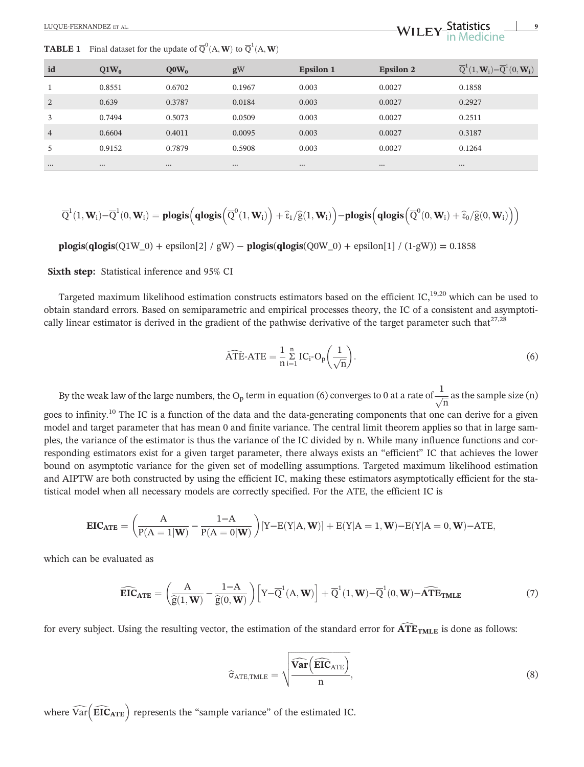**TABLE 1** Final dataset for the update of  $\overline{Q}^0(A, \mathbf{W})$  to  $\overline{Q}^1(A, \mathbf{W})$ 



| id             | $Q1W_0$  | $Q_0W_0$ | gW                      | <b>Epsilon 1</b> | <b>Epsilon 2</b> | $\overline{Q}^1(1, \mathbf{W}_i) - \overline{Q}^1(0, \mathbf{W}_i)$ |
|----------------|----------|----------|-------------------------|------------------|------------------|---------------------------------------------------------------------|
| 1              | 0.8551   | 0.6702   | 0.1967                  | 0.003            | 0.0027           | 0.1858                                                              |
| 2              | 0.639    | 0.3787   | 0.0184                  | 0.003            | 0.0027           | 0.2927                                                              |
| 3              | 0.7494   | 0.5073   | 0.0509                  | 0.003            | 0.0027           | 0.2511                                                              |
| $\overline{4}$ | 0.6604   | 0.4011   | 0.0095                  | 0.003            | 0.0027           | 0.3187                                                              |
| 5              | 0.9152   | 0.7879   | 0.5908                  | 0.003            | 0.0027           | 0.1264                                                              |
| $\cdots$       | $\cdots$ | $\cdots$ | $\bullet\bullet\bullet$ | $\cdots$         | $\cdots$         | $\cdots$                                                            |

$$
\overline{Q}^1(1,\mathbf{W}_i)-\overline{Q}^1(0,\mathbf{W}_i)=\textbf{plogis}\Big(\textbf{qlogis}\Big(\overline{Q}^0(1,\mathbf{W}_i)\Big)+\widehat{\epsilon}_1/\widehat{g}(1,\mathbf{W}_i)\Big)-\textbf{plogis}\Big(\textbf{qlogis}\Big(\overline{Q}^0(0,\mathbf{W}_i)+\widehat{\epsilon}_0/\widehat{g}(0,\mathbf{W}_i)\Big)\Big)
$$

**plogis**( $q$ **logis**( $Q$ **1W\_0**) + epsilon[2] / gW) − **plogis**( $q$ **logis**( $Q$ 0W\_0) + epsilon[1] / (1-gW)) = 0.1858

**Sixth step:** Statistical inference and 95% CI

Targeted maximum likelihood estimation constructs estimators based on the efficient IC,<sup>19,20</sup> which can be used to obtain standard errors. Based on semiparametric and empirical processes theory, the IC of a consistent and asymptotically linear estimator is derived in the gradient of the pathwise derivative of the target parameter such that $^{27,28}$ 

$$
\widehat{\text{ATE}} - \text{ATE} = \frac{1}{n} \sum_{i=1}^{n} \text{IC}_{i} - \text{O}_{p} \left( \frac{1}{\sqrt{n}} \right). \tag{6}
$$

By the weak law of the large numbers, the O<sub>p</sub> term in equation (6) converges to 0 at a rate of  $\frac{1}{\sqrt{n}}$  as the sample size (n) goes to infinity.<sup>10</sup> The IC is a function of the data and the data-generating components that one can derive for a given model and target parameter that has mean 0 and finite variance. The central limit theorem applies so that in large samples, the variance of the estimator is thus the variance of the IC divided by n. While many influence functions and corresponding estimators exist for a given target parameter, there always exists an "efficient" IC that achieves the lower bound on asymptotic variance for the given set of modelling assumptions. Targeted maximum likelihood estimation and AIPTW are both constructed by using the efficient IC, making these estimators asymptotically efficient for the statistical model when all necessary models are correctly specified. For the ATE, the efficient IC is

$$
\text{EIC}_{\text{ATE}} = \left(\frac{A}{P(A=1|\textbf{W})} - \frac{1-A}{P(A=0|\textbf{W})}\right)[Y - E(Y|A,\textbf{W})] + E(Y|A=1,\textbf{W}) - E(Y|A=0,\textbf{W}) - \text{ATE},
$$

which can be evaluated as

$$
\widehat{\text{EIC}}_{\text{ATE}} = \left(\frac{A}{\widehat{g}(1, \mathbf{W})} - \frac{1 - A}{\widehat{g}(0, \mathbf{W})}\right) \left[Y - \overline{Q}^{1}(A, \mathbf{W})\right] + \overline{Q}^{1}(1, \mathbf{W}) - \overline{Q}^{1}(0, \mathbf{W}) - \widehat{\text{ATE}}_{\text{TIME}}\tag{7}
$$

ffiffiffiffiffiffiffiffiffiffiffiffiffiffiffiffiffiffiffiffiffiffiffiffiffiffiffiffiffi

for every subject. Using the resulting vector, the estimation of the standard error for  $\widehat{\text{ATE}}_{\text{TMLE}}$  is done as follows:

$$
\hat{\sigma}_{ATE, TIME} = \sqrt{\frac{\widehat{\text{Var}}\left(\widehat{\text{EIC}}_{ATE}\right)}{n}},
$$
\n(8)

where  $\widehat{\text{Var}}\left(\widehat{\text{EIC}}_{\text{ATE}}\right)$ represents the "sample variance" of the estimated IC.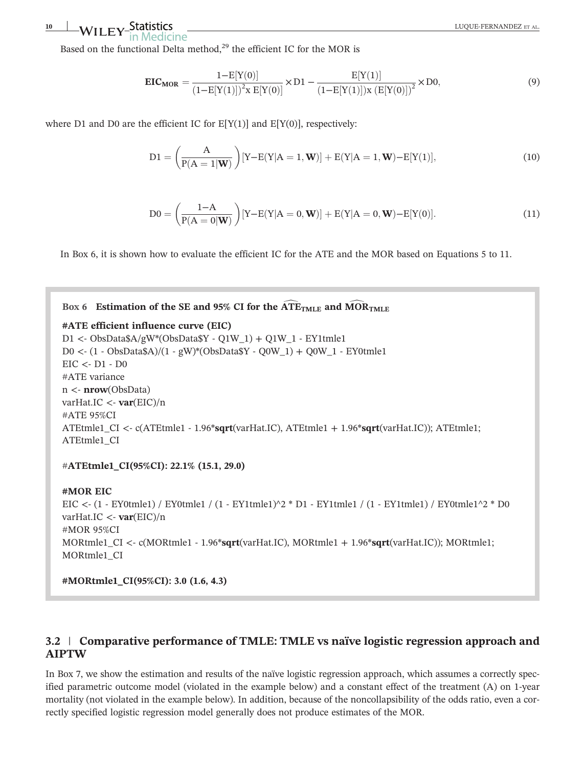**100 LUQUE-FERNANDEZ** ET AL.<br>**100 LUQUE** FERNANDEZ ET AL. **100 LUQUE** FERNANDEZ ET AL. in Medicine

Based on the functional Delta method,<sup>29</sup> the efficient IC for the MOR is

$$
\mathbf{EIC}_{\text{MOR}} = \frac{1 - E[Y(0)]}{(1 - E[Y(1)])^2 \mathbf{x} E[Y(0)]} \times D1 - \frac{E[Y(1)]}{(1 - E[Y(1)]) \mathbf{x} (E[Y(0)])^2} \times D0,
$$
\n(9)

where D1 and D0 are the efficient IC for  $E[Y(1)]$  and  $E[Y(0)]$ , respectively:

$$
D1 = \left(\frac{A}{P(A=1|\mathbf{W})}\right)[Y - E(Y|A=1,\mathbf{W})] + E(Y|A=1,\mathbf{W}) - E[Y(1)],\tag{10}
$$

$$
D0 = \left(\frac{1-A}{P(A=0|\mathbf{W})}\right)[Y - E(Y|A=0,\mathbf{W})] + E(Y|A=0,\mathbf{W}) - E[Y(0)].
$$
\n(11)

In Box 6, it is shown how to evaluate the efficient IC for the ATE and the MOR based on Equations 5 to 11.

### Box 6 **Estimation of the SE and 95% CI for the**  $\widehat{ATE}_{\text{TMLE}}$  **and**  $\widehat{MOR}_{\text{TMLE}}$

```
#ATE efficient influence curve (EIC)
D1 <- ObsData$A/gW*(ObsData$Y - Q1W_1) + Q1W_1 - EY1tmle1
D0 \leq (1 - ObsData$A)/(1 - gW)*(ObsData$Y - Q0W_1) + Q0W_1 - EY0tmle1EIC <- D1 - D0
#ATE variance
n <- nrow(ObsData)
varHat.IC <- var(EIC)/n
#ATE 95%CI
ATEtmle1_CI <- c(ATEtmle1 - 1.96*sqrt(varHat.IC), ATEtmle1 + 1.96*sqrt(varHat.IC)); ATEtmle1;
ATEtmle1_CI
```
#**ATEtmle1\_CI(95%CI): 22.1% (15.1, 29.0)**

**#MOR EIC** EIC <- (1 - EY0tmle1) / EY0tmle1 / (1 - EY1tmle1)^2 \* D1 - EY1tmle1 / (1 - EY1tmle1) / EY0tmle1^2 \* D0 varHat.IC <- **var**(EIC)/n #MOR 95%CI MORtmle1\_CI <- c(MORtmle1 - 1.96\***sqrt**(varHat.IC), MORtmle1 + 1.96\***sqrt**(varHat.IC)); MORtmle1; MORtmle1\_CI

**#MORtmle1\_CI(95%CI): 3.0 (1.6, 4.3)**

#### **3.2** | **Comparative performance of TMLE: TMLE vs naïve logistic regression approach and AIPTW**

In Box 7, we show the estimation and results of the naïve logistic regression approach, which assumes a correctly specified parametric outcome model (violated in the example below) and a constant effect of the treatment (A) on 1‐year mortality (not violated in the example below). In addition, because of the noncollapsibility of the odds ratio, even a correctly specified logistic regression model generally does not produce estimates of the MOR.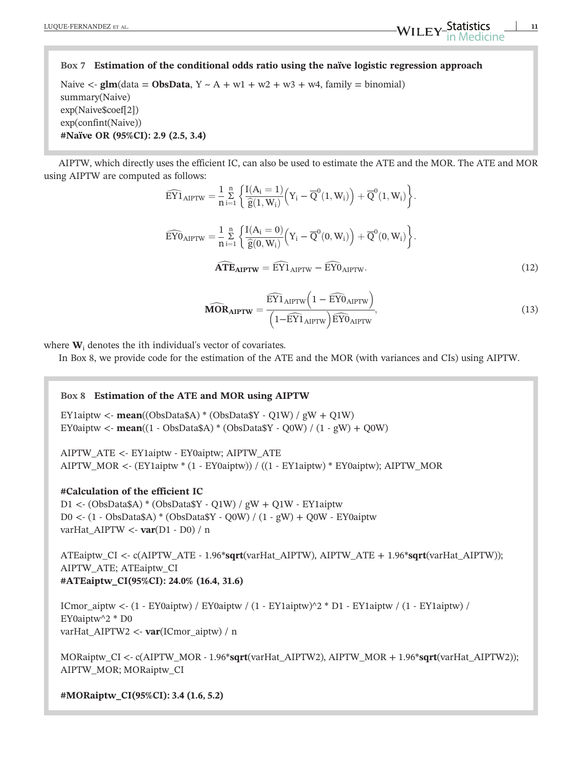#### **Box 7 Estimation of the conditional odds ratio using the naïve logistic regression approach**

Naive  $\langle \cdot \rangle$  **glm**(data = **ObsData**, Y  $\sim$  A + w1 + w2 + w3 + w4, family = binomial) summary(Naive) exp(Naive\$coef[2]) exp(confint(Naive)) **#Naïve OR (95%CI): 2.9 (2.5, 3.4)**

AIPTW, which directly uses the efficient IC, can also be used to estimate the ATE and the MOR. The ATE and MOR using AIPTW are computed as follows: 

$$
\widehat{\text{EY1}}_{\text{AIPTW}} = \frac{1}{n} \sum_{i=1}^{n} \left\{ \frac{I(A_i = 1)}{\widehat{g}(1, W_i)} \Big( Y_i - \overline{Q}^0(1, W_i) \Big) + \overline{Q}^0(1, W_i) \right\}.
$$
\n
$$
\widehat{\text{EY0}}_{\text{AIPTW}} = \frac{1}{n} \sum_{i=1}^{n} \left\{ \frac{I(A_i = 0)}{\widehat{g}(0, W_i)} \Big( Y_i - \overline{Q}^0(0, W_i) \Big) + \overline{Q}^0(0, W_i) \right\}.
$$
\n
$$
\widehat{\text{ATE}}_{\text{AIPTW}} = \widehat{\text{EY1}}_{\text{AIPTW}} - \widehat{\text{EY0}}_{\text{AIPTW}}.
$$
\n(12)

$$
\widehat{\text{MOR}}_{\text{AIPTW}} = \frac{\widehat{\text{EY1}}_{\text{AIPTW}} \left(1 - \widehat{\text{EY0}}_{\text{AIPTW}}\right)}{\left(1 - \widehat{\text{EY1}}_{\text{AIPTW}}\right) \widehat{\text{EY0}}_{\text{AIPTW}}},\tag{13}
$$

where  $W_i$  denotes the ith individual's vector of covariates.

In Box 8, we provide code for the estimation of the ATE and the MOR (with variances and CIs) using AIPTW.

#### **Box 8 Estimation of the ATE and MOR using AIPTW**

EY1aiptw <- **mean**((ObsData\$A) \* (ObsData\$Y - Q1W) / gW + Q1W) EY0aiptw  $\leq$  **mean**((1 - ObsData\$A) \* (ObsData\$Y - Q0W) / (1 - gW) + Q0W)

AIPTW\_ATE <- EY1aiptw - EY0aiptw; AIPTW\_ATE AIPTW\_MOR <- (EY1aiptw \* (1 - EY0aiptw)) / ((1 - EY1aiptw) \* EY0aiptw); AIPTW\_MOR

#### **#Calculation of the efficient IC**

D1 <- (ObsData\$A) \* (ObsData\$Y - Q1W) / gW + Q1W - EY1aiptw D0 <- (1 - ObsData\$A) \* (ObsData\$Y - Q0W) / (1 - gW) + Q0W - EY0aiptw varHat\_AIPTW <- **var**(D1 - D0) / n

ATEaiptw\_CI <- c(AIPTW\_ATE - 1.96\***sqrt**(varHat\_AIPTW), AIPTW\_ATE + 1.96\***sqrt**(varHat\_AIPTW)); AIPTW\_ATE; ATEaiptw\_CI **#ATEaiptw\_CI(95%CI): 24.0% (16.4, 31.6)**

ICmor\_aiptw <- (1 - EY0aiptw) / EY0aiptw / (1 - EY1aiptw)^2 \* D1 - EY1aiptw / (1 - EY1aiptw) / EY0aiptw^2 \* D0 varHat\_AIPTW2 <- **var**(ICmor\_aiptw) / n

MORaiptw\_CI <- c(AIPTW\_MOR - 1.96\***sqrt**(varHat\_AIPTW2), AIPTW\_MOR + 1.96\***sqrt**(varHat\_AIPTW2)); AIPTW\_MOR; MORaiptw\_CI

**#MORaiptw\_CI(95%CI): 3.4 (1.6, 5.2)**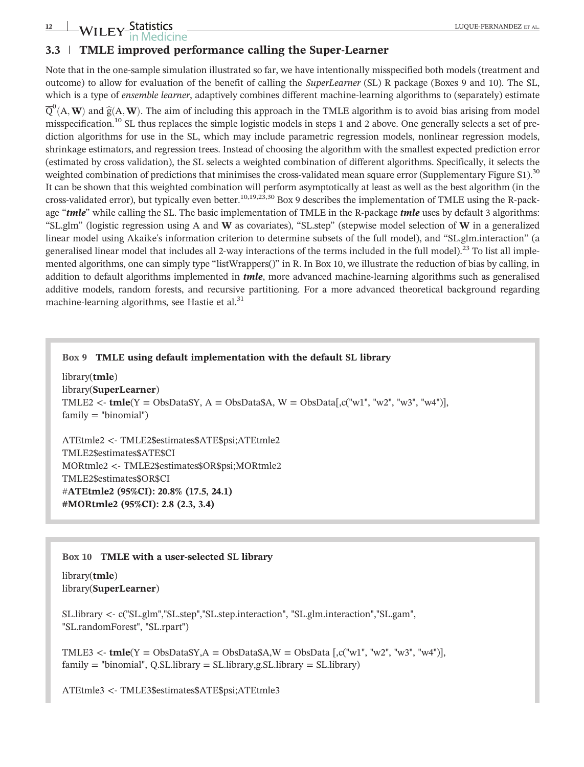**12** LUQUE-FERNANDEZ ET AL.

#### **3.3** <sup>|</sup> **TMLE improved performance calling the Super‐Learner**

Note that in the one‐sample simulation illustrated so far, we have intentionally misspecified both models (treatment and outcome) to allow for evaluation of the benefit of calling the *SuperLearner* (SL) R package (Boxes 9 and 10). The SL, which is a type of *ensemble learner*, adaptively combines different machine-learning algorithms to (separately) estimate

 $\overline{Q}^0(A, \mathbf{W})$  and  $\widehat{g}(A, \mathbf{W})$ . The aim of including this approach in the TMLE algorithm is to avoid bias arising from model misspecification.<sup>10</sup> SL thus replaces the simple logistic models in steps 1 and 2 above. One generally selects a set of prediction algorithms for use in the SL, which may include parametric regression models, nonlinear regression models, shrinkage estimators, and regression trees. Instead of choosing the algorithm with the smallest expected prediction error (estimated by cross validation), the SL selects a weighted combination of different algorithms. Specifically, it selects the weighted combination of predictions that minimises the cross-validated mean square error (Supplementary Figure S1).<sup>30</sup> It can be shown that this weighted combination will perform asymptotically at least as well as the best algorithm (in the cross-validated error), but typically even better.<sup>10,19,23,30</sup> Box 9 describes the implementation of TMLE using the R-package "*tmle*" while calling the SL. The basic implementation of TMLE in the R-package *tmle* uses by default 3 algorithms: "SL.glm" (logistic regression using A and **W** as covariates), "SL.step" (stepwise model selection of **W** in a generalized linear model using Akaike's information criterion to determine subsets of the full model), and "SL.glm.interaction" (a generalised linear model that includes all 2-way interactions of the terms included in the full model).<sup>23</sup> To list all implemented algorithms, one can simply type "listWrappers()" in R. In Box 10, we illustrate the reduction of bias by calling, in addition to default algorithms implemented in *tmle*, more advanced machine‐learning algorithms such as generalised additive models, random forests, and recursive partitioning. For a more advanced theoretical background regarding machine-learning algorithms, see Hastie et al.<sup>31</sup>

### **Box 9 TMLE using default implementation with the default SL library** library(**tmle**) library(**SuperLearner**) TMLE2  $\leq$  **tmle**(Y = ObsData\$Y, A = ObsData\$A, W = ObsData[, $c("w1", "w2", "w3", "w4")$ ],  $family = "binomial")$

ATEtmle2 <- TMLE2\$estimates\$ATE\$psi;ATEtmle2 TMLE2\$estimates\$ATE\$CI MORtmle2 <- TMLE2\$estimates\$OR\$psi;MORtmle2 TMLE2\$estimates\$OR\$CI #**ATEtmle2 (95%CI): 20.8% (17.5, 24.1) #MORtmle2 (95%CI): 2.8 (2.3, 3.4)**

#### **Box 10 TMLE with a user‐selected SL library**

library(**tmle**) library(**SuperLearner**)

SL.library <- c("SL.glm","SL.step","SL.step.interaction", "SL.glm.interaction","SL.gam", "SL.randomForest", "SL.rpart")

TMLE3  $\lt$  **tmle**(Y = ObsData\$Y,A = ObsData\$A,W = ObsData [,c("w1", "w2", "w3", "w4")],  $family = "binomial", Q.S.L.library = SL.library,g.S.L.library = SL.library)$ 

ATEtmle3 <- TMLE3\$estimates\$ATE\$psi;ATEtmle3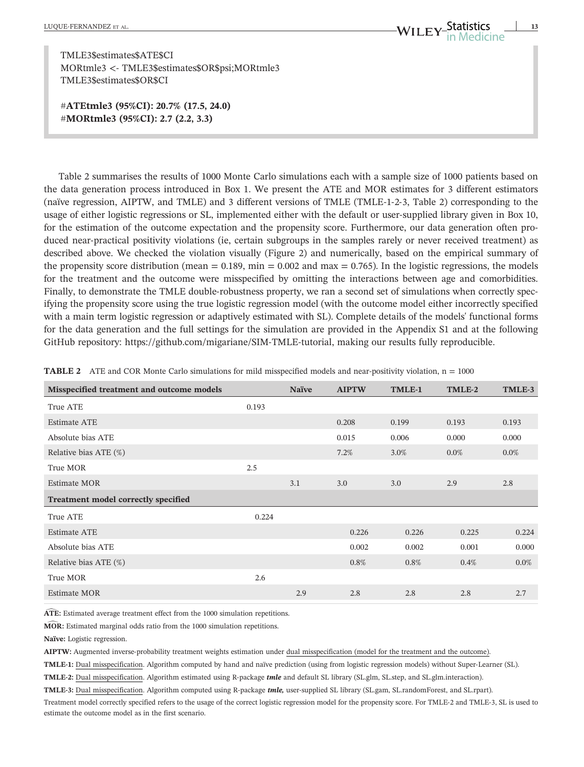

TMLE3\$estimates\$ATE\$CI MORtmle3 <- TMLE3\$estimates\$OR\$psi;MORtmle3 TMLE3\$estimates\$OR\$CI

#**ATEtmle3 (95%CI): 20.7% (17.5, 24.0)** #**MORtmle3 (95%CI): 2.7 (2.2, 3.3)**

Table 2 summarises the results of 1000 Monte Carlo simulations each with a sample size of 1000 patients based on the data generation process introduced in Box 1. We present the ATE and MOR estimates for 3 different estimators (naïve regression, AIPTW, and TMLE) and 3 different versions of TMLE (TMLE‐1‐2‐3, Table 2) corresponding to the usage of either logistic regressions or SL, implemented either with the default or user‐supplied library given in Box 10, for the estimation of the outcome expectation and the propensity score. Furthermore, our data generation often produced near-practical positivity violations (ie, certain subgroups in the samples rarely or never received treatment) as described above. We checked the violation visually (Figure 2) and numerically, based on the empirical summary of the propensity score distribution (mean  $= 0.189$ , min  $= 0.002$  and max  $= 0.765$ ). In the logistic regressions, the models for the treatment and the outcome were misspecified by omitting the interactions between age and comorbidities. Finally, to demonstrate the TMLE double-robustness property, we ran a second set of simulations when correctly specifying the propensity score using the true logistic regression model (with the outcome model either incorrectly specified with a main term logistic regression or adaptively estimated with SL). Complete details of the models' functional forms for the data generation and the full settings for the simulation are provided in the Appendix S1 and at the following GitHub repository: [https://github.com/migariane/SIM](https://github.com/migariane/SIM-TMLE-tutorial)-TMLE-tutorial, making our results fully reproducible.

| TABLE 2 ATE and COR Monte Carlo simulations for mild misspecified models and near-positivity violation, n = 1000 |              |              |        |        |         |         |  |  |  |  |  |
|------------------------------------------------------------------------------------------------------------------|--------------|--------------|--------|--------|---------|---------|--|--|--|--|--|
| Misspecified treatment and outcome models                                                                        | <b>Naïve</b> | <b>AIPTW</b> | TMLE-1 | TMLE-2 | TMLE-3  |         |  |  |  |  |  |
| True ATE                                                                                                         | 0.193        |              |        |        |         |         |  |  |  |  |  |
| <b>Estimate ATE</b>                                                                                              |              |              | 0.208  | 0.199  | 0.193   | 0.193   |  |  |  |  |  |
| Absolute bias ATE                                                                                                |              |              | 0.015  | 0.006  | 0.000   | 0.000   |  |  |  |  |  |
| Relative bias ATE $(\%)$                                                                                         |              |              | 7.2%   | 3.0%   | $0.0\%$ | $0.0\%$ |  |  |  |  |  |
| True MOR                                                                                                         | 2.5          |              |        |        |         |         |  |  |  |  |  |
| <b>Estimate MOR</b>                                                                                              |              | 3.1          | 3.0    | 3.0    | 2.9     | 2.8     |  |  |  |  |  |
| <b>Treatment model correctly specified</b>                                                                       |              |              |        |        |         |         |  |  |  |  |  |
| True ATE                                                                                                         | 0.224        |              |        |        |         |         |  |  |  |  |  |
| <b>Estimate ATE</b>                                                                                              |              |              | 0.226  | 0.226  | 0.225   | 0.224   |  |  |  |  |  |
| Absolute bias ATE                                                                                                |              |              | 0.002  | 0.002  | 0.001   | 0.000   |  |  |  |  |  |
| Relative bias ATE $(\%)$                                                                                         |              |              | 0.8%   | 0.8%   | 0.4%    | $0.0\%$ |  |  |  |  |  |
| True MOR                                                                                                         | 2.6          |              |        |        |         |         |  |  |  |  |  |
| <b>Estimate MOR</b>                                                                                              |              | 2.9          | 2.8    | 2.8    | 2.8     | 2.7     |  |  |  |  |  |

ATE: Estimated average treatment effect from the 1000 simulation repetitions.

**MOR:** Estimated marginal odds ratio from the 1000 simulation repetitions.

**Naïve:** Logistic regression.

**AIPTW:** Augmented inverse‐probability treatment weights estimation under dual misspecification (model for the treatment and the outcome). **AIPTW:** Augmented inverse-probability treatment weights estimation under <u>dual misspecification (model for the treatment and the outcome).<br>**TMLE−1:** Dual misspecification. Algorithm computed by hand and naïve prediction </u>

**TMLE-1:** Dual misspecification. Algorithm computed by hand and naïve prediction (using from logistic regression models) without Super-L<br>**TMLE-2:** Dual misspecification. Algorithm estimated using R-package *tmle* and defau

**TMLE-2:** Dual misspecification. Algorithm estimated using R-package *tmle* and default SL library (SL.glm, SL.step, and SL.glm.interaction).<br>**TMLE-3:** Dual misspecification. Algorithm computed using R-package *tmle*, user

Treatment model correctly specified refers to the usage of the correct logistic regression model for the propensity score. For TMLE-2 and TMLE-3, SL is used to estimate the outcome model as in the first scenario.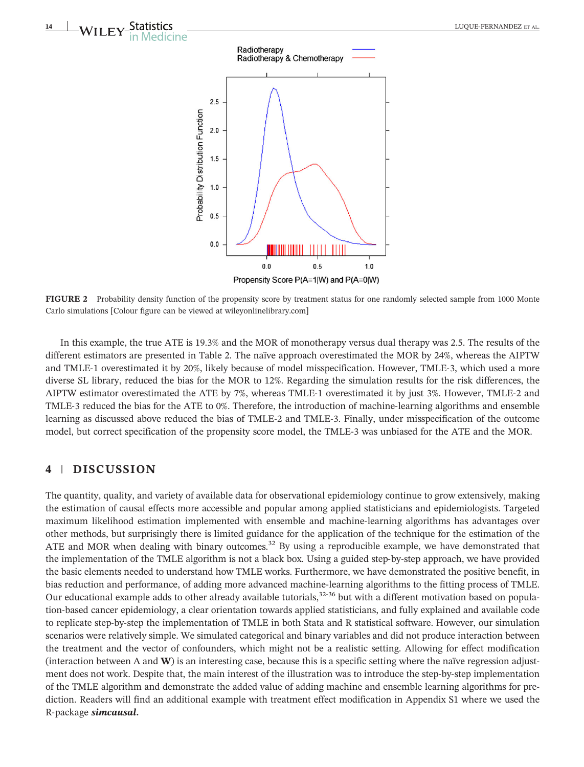

**FIGURE 2** Probability density function of the propensity score by treatment status for one randomly selected sample from 1000 Monte Carlo simulations [Colour figure can be viewed at [wileyonlinelibrary.com](http://wileyonlinelibrary.com)]

In this example, the true ATE is 19.3% and the MOR of monotherapy versus dual therapy was 2.5. The results of the different estimators are presented in Table 2. The naïve approach overestimated the MOR by 24%, whereas the AIPTW and TMLE-1 overestimated it by 20%, likely because of model misspecification. However, TMLE-3, which used a more diverse SL library, reduced the bias for the MOR to 12%. Regarding the simulation results for the risk differences, the AIPTW estimator overestimated the ATE by 7%, whereas TMLE‐1 overestimated it by just 3%. However, TMLE‐2 and TMLE‐3 reduced the bias for the ATE to 0%. Therefore, the introduction of machine‐learning algorithms and ensemble learning as discussed above reduced the bias of TMLE‐2 and TMLE‐3. Finally, under misspecification of the outcome model, but correct specification of the propensity score model, the TMLE‐3 was unbiased for the ATE and the MOR.

#### **4** | **DISCUSSION**

The quantity, quality, and variety of available data for observational epidemiology continue to grow extensively, making the estimation of causal effects more accessible and popular among applied statisticians and epidemiologists. Targeted maximum likelihood estimation implemented with ensemble and machine‐learning algorithms has advantages over other methods, but surprisingly there is limited guidance for the application of the technique for the estimation of the ATE and MOR when dealing with binary outcomes.<sup>32</sup> By using a reproducible example, we have demonstrated that the implementation of the TMLE algorithm is not a black box. Using a guided step‐by‐step approach, we have provided the basic elements needed to understand how TMLE works. Furthermore, we have demonstrated the positive benefit, in bias reduction and performance, of adding more advanced machine‐learning algorithms to the fitting process of TMLE. Our educational example adds to other already available tutorials,<sup>32-36</sup> but with a different motivation based on population‐based cancer epidemiology, a clear orientation towards applied statisticians, and fully explained and available code to replicate step‐by‐step the implementation of TMLE in both Stata and R statistical software. However, our simulation scenarios were relatively simple. We simulated categorical and binary variables and did not produce interaction between the treatment and the vector of confounders, which might not be a realistic setting. Allowing for effect modification (interaction between A and **W**) is an interesting case, because this is a specific setting where the naïve regression adjustment does not work. Despite that, the main interest of the illustration was to introduce the step-by-step implementation of the TMLE algorithm and demonstrate the added value of adding machine and ensemble learning algorithms for prediction. Readers will find an additional example with treatment effect modification in Appendix S1 where we used the R‐package *simcausal***.**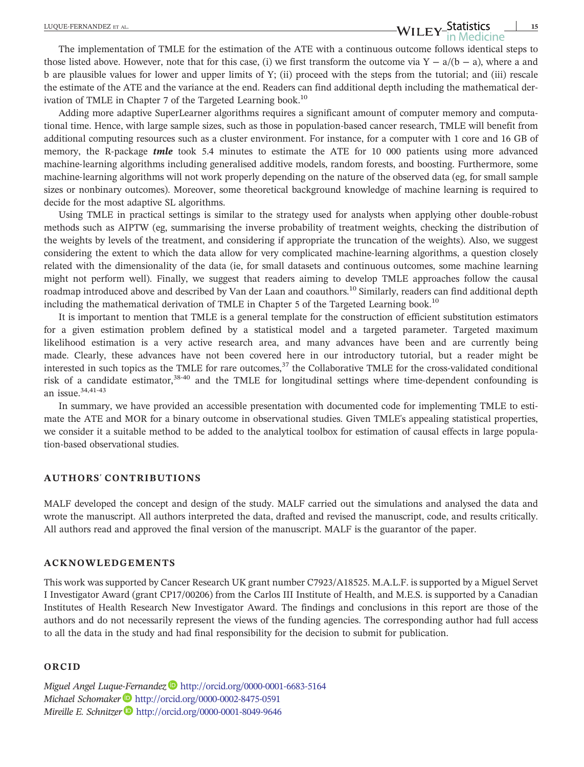### LUQUE‐FERNANDEZ ET AL. **15**

The implementation of TMLE for the estimation of the ATE with a continuous outcome follows identical steps to those listed above. However, note that for this case, (i) we first transform the outcome via Y –  $a/(b - a)$ , where a and b are plausible values for lower and upper limits of Y; (ii) proceed with the steps from the tutorial; and (iii) rescale the estimate of the ATE and the variance at the end. Readers can find additional depth including the mathematical derivation of TMLE in Chapter 7 of the Targeted Learning book.<sup>10</sup>

Adding more adaptive SuperLearner algorithms requires a significant amount of computer memory and computational time. Hence, with large sample sizes, such as those in population‐based cancer research, TMLE will benefit from additional computing resources such as a cluster environment. For instance, for a computer with 1 core and 16 GB of memory, the R-package *tmle* took 5.4 minutes to estimate the ATE for 10 000 patients using more advanced machine-learning algorithms including generalised additive models, random forests, and boosting. Furthermore, some machine‐learning algorithms will not work properly depending on the nature of the observed data (eg, for small sample sizes or nonbinary outcomes). Moreover, some theoretical background knowledge of machine learning is required to decide for the most adaptive SL algorithms.

Using TMLE in practical settings is similar to the strategy used for analysts when applying other double‐robust methods such as AIPTW (eg, summarising the inverse probability of treatment weights, checking the distribution of the weights by levels of the treatment, and considering if appropriate the truncation of the weights). Also, we suggest considering the extent to which the data allow for very complicated machine‐learning algorithms, a question closely related with the dimensionality of the data (ie, for small datasets and continuous outcomes, some machine learning might not perform well). Finally, we suggest that readers aiming to develop TMLE approaches follow the causal roadmap introduced above and described by Van der Laan and coauthors.<sup>10</sup> Similarly, readers can find additional depth including the mathematical derivation of TMLE in Chapter 5 of the Targeted Learning book.<sup>10</sup>

It is important to mention that TMLE is a general template for the construction of efficient substitution estimators for a given estimation problem defined by a statistical model and a targeted parameter. Targeted maximum likelihood estimation is a very active research area, and many advances have been and are currently being made. Clearly, these advances have not been covered here in our introductory tutorial, but a reader might be interested in such topics as the TMLE for rare outcomes, $37$  the Collaborative TMLE for the cross-validated conditional risk of a candidate estimator,<sup>38-40</sup> and the TMLE for longitudinal settings where time-dependent confounding is an issue.34,41-43

In summary, we have provided an accessible presentation with documented code for implementing TMLE to estimate the ATE and MOR for a binary outcome in observational studies. Given TMLE's appealing statistical properties, we consider it a suitable method to be added to the analytical toolbox for estimation of causal effects in large population‐based observational studies.

#### **AUTHORS**' **CONTRIBUTIONS**

MALF developed the concept and design of the study. MALF carried out the simulations and analysed the data and wrote the manuscript. All authors interpreted the data, drafted and revised the manuscript, code, and results critically. All authors read and approved the final version of the manuscript. MALF is the guarantor of the paper.

#### **ACKNOWLEDGEMENTS**

This work was supported by Cancer Research UK grant number C7923/A18525. M.A.L.F. is supported by a Miguel Servet I Investigator Award (grant CP17/00206) from the Carlos III Institute of Health, and M.E.S. is supported by a Canadian Institutes of Health Research New Investigator Award. The findings and conclusions in this report are those of the authors and do not necessarily represent the views of the funding agencies. The corresponding author had full access to all the data in the study and had final responsibility for the decision to submit for publication.

#### **ORCID**

*Miguel Angel Luque-Fernandez* **■** <http://orcid.org/0000-0001-6683-5164> *Michael Schomaker* **<http://orcid.org/0000-0002-8475-0591>** *Mireille E. Schnitzer* **b** <http://orcid.org/0000-0001-8049-9646>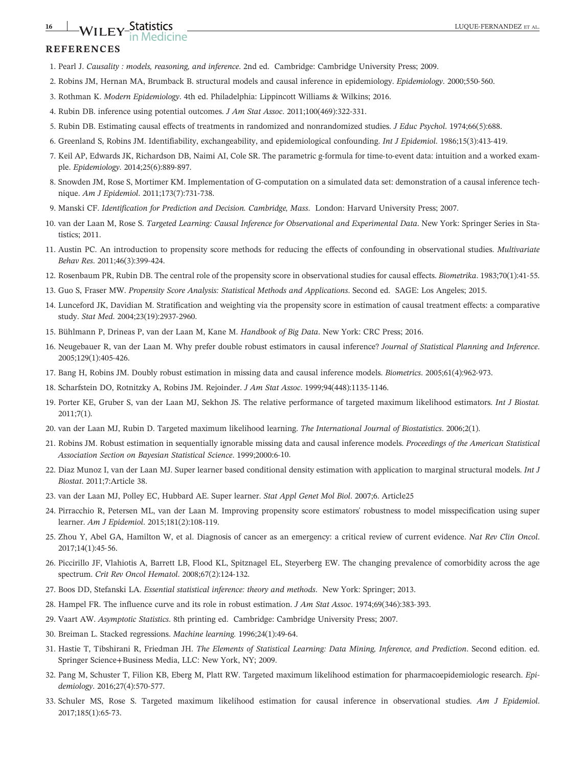# **166** WILEY<sup>-Statistics</sup> LUQUE-FERNANDEZ ET AL.

#### **REFERENCES**

- 1. Pearl J. *Causality : models, reasoning, and inference*. 2nd ed. Cambridge: Cambridge University Press; 2009.
- 2. Robins JM, Hernan MA, Brumback B. structural models and causal inference in epidemiology. *Epidemiology*. 2000;550‐560.
- 3. Rothman K. *Modern Epidemiology*. 4th ed. Philadelphia: Lippincott Williams & Wilkins; 2016.
- 4. Rubin DB. inference using potential outcomes. *J Am Stat Assoc*. 2011;100(469):322‐331.
- 5. Rubin DB. Estimating causal effects of treatments in randomized and nonrandomized studies. *J Educ Psychol*. 1974;66(5):688.
- 6. Greenland S, Robins JM. Identifiability, exchangeability, and epidemiological confounding. *Int J Epidemiol*. 1986;15(3):413‐419.
- 7. Keil AP, Edwards JK, Richardson DB, Naimi AI, Cole SR. The parametric g‐formula for time‐to‐event data: intuition and a worked example. *Epidemiology*. 2014;25(6):889‐897.
- 8. Snowden JM, Rose S, Mortimer KM. Implementation of G‐computation on a simulated data set: demonstration of a causal inference technique. *Am J Epidemiol*. 2011;173(7):731‐738.
- 9. Manski CF. *Identification for Prediction and Decision. Cambridge, Mass*. London: Harvard University Press; 2007.
- 10. van der Laan M, Rose S. *Targeted Learning: Causal Inference for Observational and Experimental Data*. New York: Springer Series in Statistics; 2011.
- 11. Austin PC. An introduction to propensity score methods for reducing the effects of confounding in observational studies. *Multivariate Behav Res*. 2011;46(3):399‐424.
- 12. Rosenbaum PR, Rubin DB. The central role of the propensity score in observational studies for causal effects. *Biometrika*. 1983;70(1):41‐55.
- 13. Guo S, Fraser MW. *Propensity Score Analysis: Statistical Methods and Applications*. Second ed. SAGE: Los Angeles; 2015.
- 14. Lunceford JK, Davidian M. Stratification and weighting via the propensity score in estimation of causal treatment effects: a comparative study. *Stat Med*. 2004;23(19):2937‐2960.
- 15. Bühlmann P, Drineas P, van der Laan M, Kane M. *Handbook of Big Data*. New York: CRC Press; 2016.
- 16. Neugebauer R, van der Laan M. Why prefer double robust estimators in causal inference? *Journal of Statistical Planning and Inference*. 2005;129(1):405‐426.
- 17. Bang H, Robins JM. Doubly robust estimation in missing data and causal inference models. *Biometrics*. 2005;61(4):962‐973.
- 18. Scharfstein DO, Rotnitzky A, Robins JM. Rejoinder. *J Am Stat Assoc*. 1999;94(448):1135‐1146.
- 19. Porter KE, Gruber S, van der Laan MJ, Sekhon JS. The relative performance of targeted maximum likelihood estimators. *Int J Biostat.* 2011;7(1).
- 20. van der Laan MJ, Rubin D. Targeted maximum likelihood learning. *The International Journal of Biostatistics*. 2006;2(1).
- 21. Robins JM. Robust estimation in sequentially ignorable missing data and causal inference models. *Proceedings of the American Statistical Association Section on Bayesian Statistical Science*. 1999;2000:6‐10.
- 22. Diaz Munoz I, van der Laan MJ. Super learner based conditional density estimation with application to marginal structural models. *Int J Biostat*. 2011;7:Article 38.
- 23. van der Laan MJ, Polley EC, Hubbard AE. Super learner. *Stat Appl Genet Mol Biol*. 2007;6. Article25
- 24. Pirracchio R, Petersen ML, van der Laan M. Improving propensity score estimators' robustness to model misspecification using super learner. *Am J Epidemiol*. 2015;181(2):108‐119.
- 25. Zhou Y, Abel GA, Hamilton W, et al. Diagnosis of cancer as an emergency: a critical review of current evidence. *Nat Rev Clin Oncol*. 2017;14(1):45‐56.
- 26. Piccirillo JF, Vlahiotis A, Barrett LB, Flood KL, Spitznagel EL, Steyerberg EW. The changing prevalence of comorbidity across the age spectrum. *Crit Rev Oncol Hematol*. 2008;67(2):124‐132.
- 27. Boos DD, Stefanski LA. *Essential statistical inference: theory and methods*. New York: Springer; 2013.
- 28. Hampel FR. The influence curve and its role in robust estimation. *J Am Stat Assoc*. 1974;69(346):383‐393.
- 29. Vaart AW. *Asymptotic Statistics*. 8th printing ed. Cambridge: Cambridge University Press; 2007.
- 30. Breiman L. Stacked regressions. *Machine learning.* 1996;24(1):49‐64.
- 31. Hastie T, Tibshirani R, Friedman JH. *The Elements of Statistical Learning: Data Mining, Inference, and Prediction*. Second edition. ed. Springer Science+Business Media, LLC: New York, NY; 2009.
- 32. Pang M, Schuster T, Filion KB, Eberg M, Platt RW. Targeted maximum likelihood estimation for pharmacoepidemiologic research. *Epidemiology*. 2016;27(4):570‐577.
- 33. Schuler MS, Rose S. Targeted maximum likelihood estimation for causal inference in observational studies. *Am J Epidemiol*. 2017;185(1):65‐73.